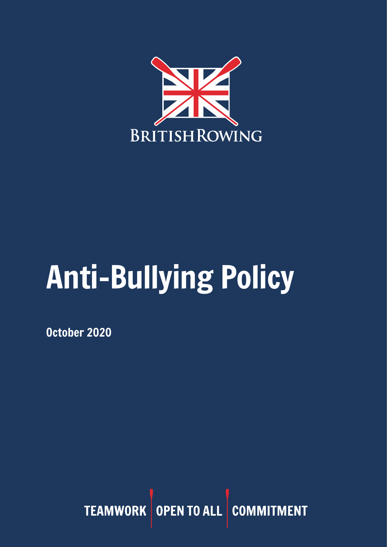

# Anti-Bullying Policy

October 2020

TEAMWORK OPEN TO ALL COMMITMENT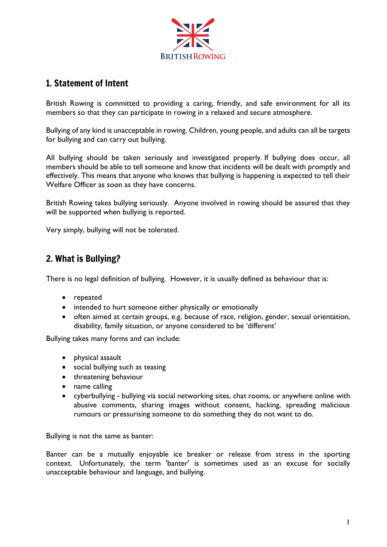

# 1. Statement of Intent

British Rowing is committed to providing a caring, friendly, and safe environment for all its members so that they can participate in rowing in a relaxed and secure atmosphere.

Bullying of any kind is unacceptable in rowing. Children, young people, and adults can all be targets for bullying and can carry out bullying.

All bullying should be taken seriously and investigated properly. If bullying does occur, all members should be able to tell someone and know that incidents will be dealt with promptly and effectively. This means that anyone who knows that bullying is happening is expected to tell their Welfare Officer as soon as they have concerns.

British Rowing takes bullying seriously. Anyone involved in rowing should be assured that they will be supported when bullying is reported.

Very simply, bullying will not be tolerated.

## 2. What is Bullying?

There is no legal definition of bullying. However, it is usually defined as behaviour that is:

- repeated
- intended to hurt someone either physically or emotionally
- often aimed at certain groups, e.g. because of race, religion, gender, sexual orientation, disability, family situation, or anyone considered to be 'different'

Bullying takes many forms and can include:

- physical assault
- social bullying such as teasing
- threatening behaviour
- name calling
- cyberbullying bullying via social networking sites, chat rooms, or anywhere online with abusive comments, sharing images without consent, hacking, spreading malicious rumours or pressurising someone to do something they do not want to do.

Bullying is not the same as banter:

Banter can be a mutually enjoyable ice breaker or release from stress in the sporting context. Unfortunately, the term 'banter' is sometimes used as an excuse for socially unacceptable behaviour and language, and bullying.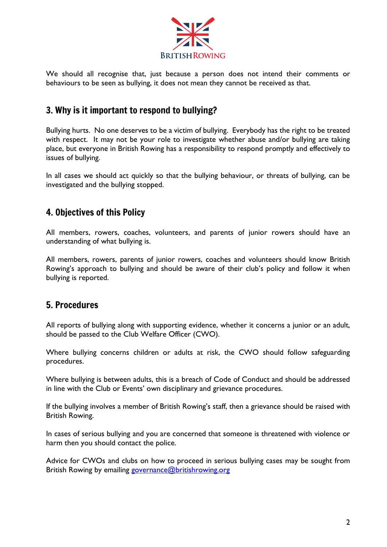

We should all recognise that, just because a person does not intend their comments or behaviours to be seen as bullying, it does not mean they cannot be received as that.

# 3. Why is it important to respond to bullying?

Bullying hurts. No one deserves to be a victim of bullying. Everybody has the right to be treated with respect. It may not be your role to investigate whether abuse and/or bullying are taking place, but everyone in British Rowing has a responsibility to respond promptly and effectively to issues of bullying.

In all cases we should act quickly so that the bullying behaviour, or threats of bullying, can be investigated and the bullying stopped.

# 4. Objectives of this Policy

All members, rowers, coaches, volunteers, and parents of junior rowers should have an understanding of what bullying is.

All members, rowers, parents of junior rowers, coaches and volunteers should know British Rowing's approach to bullying and should be aware of their club's policy and follow it when bullying is reported.

## 5. Procedures

All reports of bullying along with supporting evidence, whether it concerns a junior or an adult, should be passed to the Club Welfare Officer (CWO).

Where bullying concerns children or adults at risk, the CWO should follow safeguarding procedures.

Where bullying is between adults, this is a breach of Code of Conduct and should be addressed in line with the Club or Events' own disciplinary and grievance procedures.

If the bullying involves a member of British Rowing's staff, then a grievance should be raised with British Rowing.

In cases of serious bullying and you are concerned that someone is threatened with violence or harm then you should contact the police.

Advice for CWOs and clubs on how to proceed in serious bullying cases may be sought from British Rowing by emailing [governance@britishrowing.org](mailto:governance@britishrowing.org)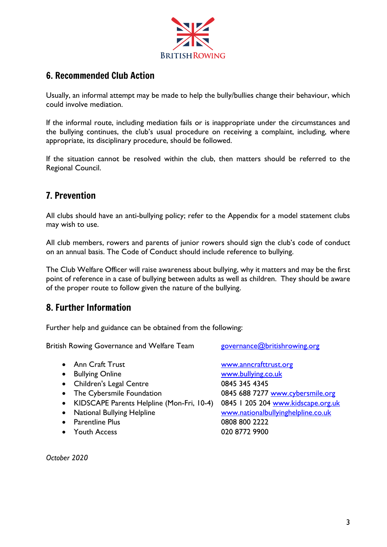

# 6. Recommended Club Action

Usually, an informal attempt may be made to help the bully/bullies change their behaviour, which could involve mediation.

If the informal route, including mediation fails or is inappropriate under the circumstances and the bullying continues, the club's usual procedure on receiving a complaint, including, where appropriate, its disciplinary procedure, should be followed.

If the situation cannot be resolved within the club, then matters should be referred to the Regional Council.

# 7. Prevention

All clubs should have an anti-bullying policy; refer to the Appendix for a model statement clubs may wish to use.

All club members, rowers and parents of junior rowers should sign the club's code of conduct on an annual basis. The Code of Conduct should include reference to bullying.

The Club Welfare Officer will raise awareness about bullying, why it matters and may be the first point of reference in a case of bullying between adults as well as children. They should be aware of the proper route to follow given the nature of the bullying.

## 8. Further Information

Further help and guidance can be obtained from the following:

British Rowing Governance and Welfare Team [governance@britishrowing.org](mailto:governance@britishrowing.org)

- Bullying Online [www.bullying.co.uk](http://www.bullying.co.uk/)
- Children's Legal Centre 0845 345 4345
- 
- KIDSCAPE Parents Helpline (Mon-Fri, 10-4) 0845 1 205 204 [www.kidscape.org.uk](http://www.kidscape.org.uk/)
- 
- Parentline Plus 0808 800 2222
- Youth Access 020 8772 9900

• Ann Craft Trust [www.anncrafttrust.org](https://www.anncrafttrust.org/) • The Cybersmile Foundation 0845 688 7277 [www.cybersmile.org](http://www.cybersmile.org/) • National Bullying Helpline [www.nationalbullyinghelpline.co.uk](http://www.nationalbullyinghelpline.co.uk/)

*October 2020*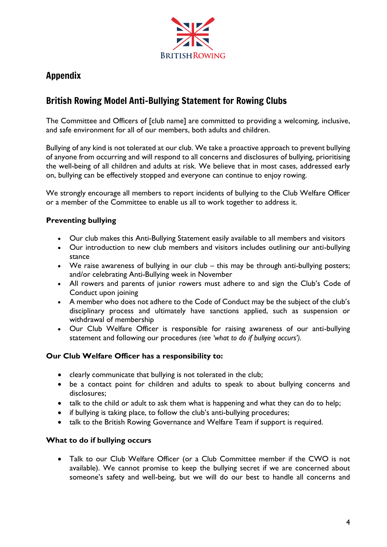

# Appendix

# British Rowing Model Anti-Bullying Statement for Rowing Clubs

The Committee and Officers of [club name] are committed to providing a welcoming, inclusive, and safe environment for all of our members, both adults and children.

Bullying of any kind is not tolerated at our club. We take a proactive approach to prevent bullying of anyone from occurring and will respond to all concerns and disclosures of bullying, prioritising the well-being of all children and adults at risk. We believe that in most cases, addressed early on, bullying can be effectively stopped and everyone can continue to enjoy rowing.

We strongly encourage all members to report incidents of bullying to the Club Welfare Officer or a member of the Committee to enable us all to work together to address it.

### **Preventing bullying**

- Our club makes this Anti-Bullying Statement easily available to all members and visitors
- Our introduction to new club members and visitors includes outlining our anti-bullying stance
- We raise awareness of bullying in our club this may be through anti-bullying posters; and/or celebrating Anti-Bullying week in November
- All rowers and parents of junior rowers must adhere to and sign the Club's Code of Conduct upon joining
- A member who does not adhere to the Code of Conduct may be the subject of the club's disciplinary process and ultimately have sanctions applied, such as suspension or withdrawal of membership
- Our Club Welfare Officer is responsible for raising awareness of our anti-bullying statement and following our procedures *(see 'what to do if bullying occurs').*

#### **Our Club Welfare Officer has a responsibility to:**

- clearly communicate that bullying is not tolerated in the club;
- be a contact point for children and adults to speak to about bullying concerns and disclosures;
- talk to the child or adult to ask them what is happening and what they can do to help;
- if bullying is taking place, to follow the club's anti-bullying procedures;
- talk to the British Rowing Governance and Welfare Team if support is required.

### **What to do if bullying occurs**

• Talk to our Club Welfare Officer (or a Club Committee member if the CWO is not available). We cannot promise to keep the bullying secret if we are concerned about someone's safety and well-being, but we will do our best to handle all concerns and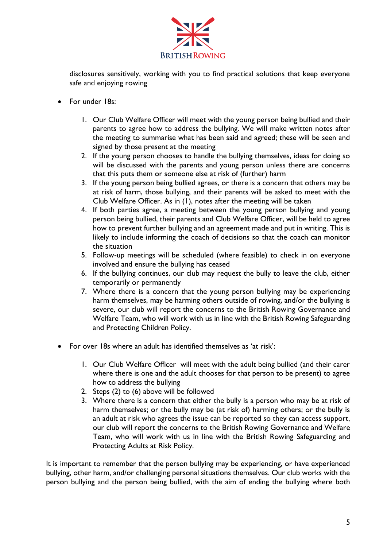

disclosures sensitively, working with you to find practical solutions that keep everyone safe and enjoying rowing

- For under 18s:
	- 1. Our Club Welfare Officer will meet with the young person being bullied and their parents to agree how to address the bullying. We will make written notes after the meeting to summarise what has been said and agreed; these will be seen and signed by those present at the meeting
	- 2. If the young person chooses to handle the bullying themselves, ideas for doing so will be discussed with the parents and young person unless there are concerns that this puts them or someone else at risk of (further) harm
	- 3. If the young person being bullied agrees, or there is a concern that others may be at risk of harm, those bullying, and their parents will be asked to meet with the Club Welfare Officer. As in (1), notes after the meeting will be taken
	- 4. If both parties agree, a meeting between the young person bullying and young person being bullied, their parents and Club Welfare Officer, will be held to agree how to prevent further bullying and an agreement made and put in writing. This is likely to include informing the coach of decisions so that the coach can monitor the situation
	- 5. Follow-up meetings will be scheduled (where feasible) to check in on everyone involved and ensure the bullying has ceased
	- 6. If the bullying continues, our club may request the bully to leave the club, either temporarily or permanently
	- 7. Where there is a concern that the young person bullying may be experiencing harm themselves, may be harming others outside of rowing, and/or the bullying is severe, our club will report the concerns to the British Rowing Governance and Welfare Team, who will work with us in line with the British Rowing Safeguarding and Protecting Children Policy.
- For over 18s where an adult has identified themselves as 'at risk':
	- 1. Our Club Welfare Officer will meet with the adult being bullied (and their carer where there is one and the adult chooses for that person to be present) to agree how to address the bullying
	- 2. Steps (2) to (6) above will be followed
	- 3. Where there is a concern that either the bully is a person who may be at risk of harm themselves; or the bully may be (at risk of) harming others; or the bully is an adult at risk who agrees the issue can be reported so they can access support, our club will report the concerns to the British Rowing Governance and Welfare Team, who will work with us in line with the British Rowing Safeguarding and Protecting Adults at Risk Policy.

It is important to remember that the person bullying may be experiencing, or have experienced bullying, other harm, and/or challenging personal situations themselves. Our club works with the person bullying and the person being bullied, with the aim of ending the bullying where both